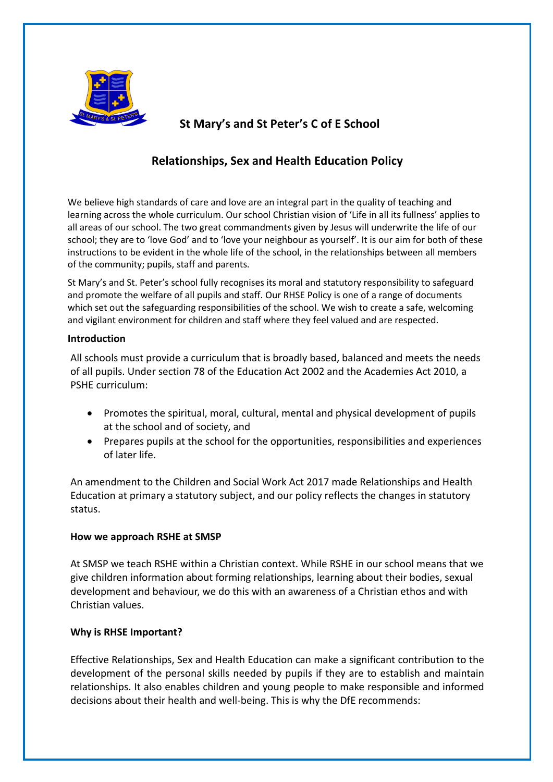

# **St Mary's and St Peter's C of E School**

# **Relationships, Sex and Health Education Policy**

We believe high standards of care and love are an integral part in the quality of teaching and learning across the whole curriculum. Our school Christian vision of 'Life in all its fullness' applies to all areas of our school. The two great commandments given by Jesus will underwrite the life of our school; they are to 'love God' and to 'love your neighbour as yourself'. It is our aim for both of these instructions to be evident in the whole life of the school, in the relationships between all members of the community; pupils, staff and parents.

St Mary's and St. Peter's school fully recognises its moral and statutory responsibility to safeguard and promote the welfare of all pupils and staff. Our RHSE Policy is one of a range of documents which set out the safeguarding responsibilities of the school. We wish to create a safe, welcoming and vigilant environment for children and staff where they feel valued and are respected.

### **Introduction**

All schools must provide a curriculum that is broadly based, balanced and meets the needs of all pupils. Under section 78 of the Education Act 2002 and the Academies Act 2010, a PSHE curriculum:

- Promotes the spiritual, moral, cultural, mental and physical development of pupils at the school and of society, and
- Prepares pupils at the school for the opportunities, responsibilities and experiences of later life.

An amendment to the Children and Social Work Act 2017 made Relationships and Health Education at primary a statutory subject, and our policy reflects the changes in statutory status.

### **How we approach RSHE at SMSP**

At SMSP we teach RSHE within a Christian context. While RSHE in our school means that we give children information about forming relationships, learning about their bodies, sexual development and behaviour, we do this with an awareness of a Christian ethos and with Christian values.

## **Why is RHSE Important?**

Effective Relationships, Sex and Health Education can make a significant contribution to the development of the personal skills needed by pupils if they are to establish and maintain relationships. It also enables children and young people to make responsible and informed decisions about their health and well-being. This is why the DfE recommends: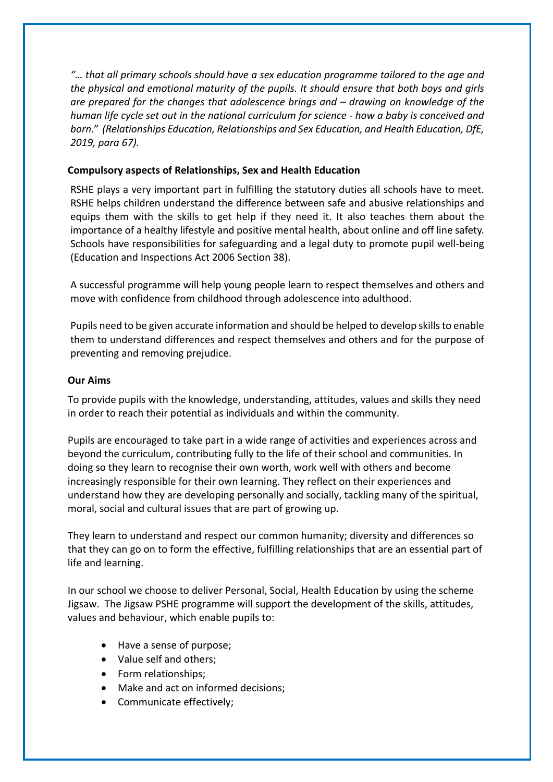*"… that all primary schools should have a sex education programme tailored to the age and the physical and emotional maturity of the pupils. It should ensure that both boys and girls are prepared for the changes that adolescence brings and – drawing on knowledge of the human life cycle set out in the national curriculum for science - how a baby is conceived and born." (Relationships Education, Relationships and Sex Education, and Health Education, DfE, 2019, para 67).*

## **Compulsory aspects of Relationships, Sex and Health Education**

RSHE plays a very important part in fulfilling the statutory duties all schools have to meet. RSHE helps children understand the difference between safe and abusive relationships and equips them with the skills to get help if they need it. It also teaches them about the importance of a healthy lifestyle and positive mental health, about online and off line safety. Schools have responsibilities for safeguarding and a legal duty to promote pupil well-being (Education and Inspections Act 2006 Section 38).

A successful programme will help young people learn to respect themselves and others and move with confidence from childhood through adolescence into adulthood.

Pupils need to be given accurate information and should be helped to develop skills to enable them to understand differences and respect themselves and others and for the purpose of preventing and removing prejudice.

## **Our Aims**

To provide pupils with the knowledge, understanding, attitudes, values and skills they need in order to reach their potential as individuals and within the community.

Pupils are encouraged to take part in a wide range of activities and experiences across and beyond the curriculum, contributing fully to the life of their school and communities. In doing so they learn to recognise their own worth, work well with others and become increasingly responsible for their own learning. They reflect on their experiences and understand how they are developing personally and socially, tackling many of the spiritual, moral, social and cultural issues that are part of growing up.

They learn to understand and respect our common humanity; diversity and differences so that they can go on to form the effective, fulfilling relationships that are an essential part of life and learning.

In our school we choose to deliver Personal, Social, Health Education by using the scheme Jigsaw. The Jigsaw PSHE programme will support the development of the skills, attitudes, values and behaviour, which enable pupils to:

- Have a sense of purpose;
- Value self and others;
- Form relationships;
- Make and act on informed decisions;
- Communicate effectively;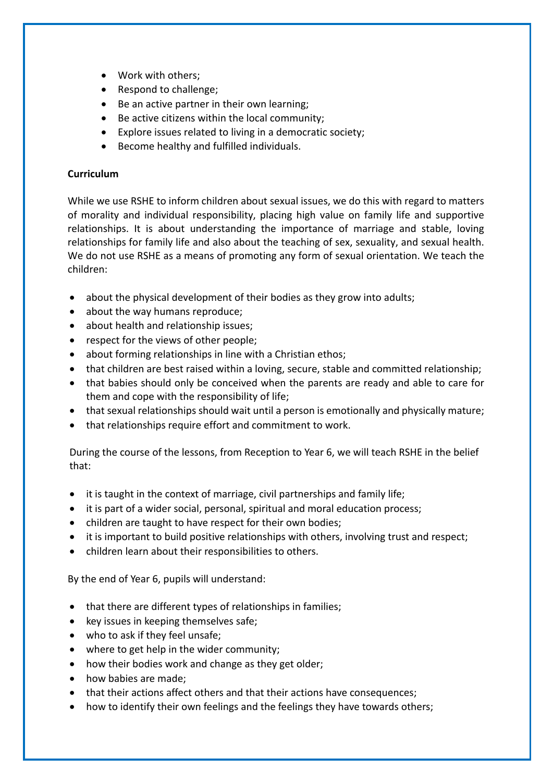- Work with others;
- Respond to challenge;
- Be an active partner in their own learning;
- Be active citizens within the local community;
- Explore issues related to living in a democratic society;
- Become healthy and fulfilled individuals.

## **Curriculum**

While we use RSHE to inform children about sexual issues, we do this with regard to matters of morality and individual responsibility, placing high value on family life and supportive relationships. It is about understanding the importance of marriage and stable, loving relationships for family life and also about the teaching of sex, sexuality, and sexual health. We do not use RSHE as a means of promoting any form of sexual orientation. We teach the children:

- about the physical development of their bodies as they grow into adults;
- about the way humans reproduce;
- about health and relationship issues;
- respect for the views of other people;
- about forming relationships in line with a Christian ethos;
- that children are best raised within a loving, secure, stable and committed relationship;
- that babies should only be conceived when the parents are ready and able to care for them and cope with the responsibility of life;
- that sexual relationships should wait until a person is emotionally and physically mature;
- that relationships require effort and commitment to work.

During the course of the lessons, from Reception to Year 6, we will teach RSHE in the belief that:

- it is taught in the context of marriage, civil partnerships and family life;
- it is part of a wider social, personal, spiritual and moral education process;
- children are taught to have respect for their own bodies;
- it is important to build positive relationships with others, involving trust and respect;
- children learn about their responsibilities to others.

By the end of Year 6, pupils will understand:

- that there are different types of relationships in families;
- key issues in keeping themselves safe;
- who to ask if they feel unsafe;
- where to get help in the wider community;
- how their bodies work and change as they get older;
- how babies are made;
- that their actions affect others and that their actions have consequences;
- how to identify their own feelings and the feelings they have towards others;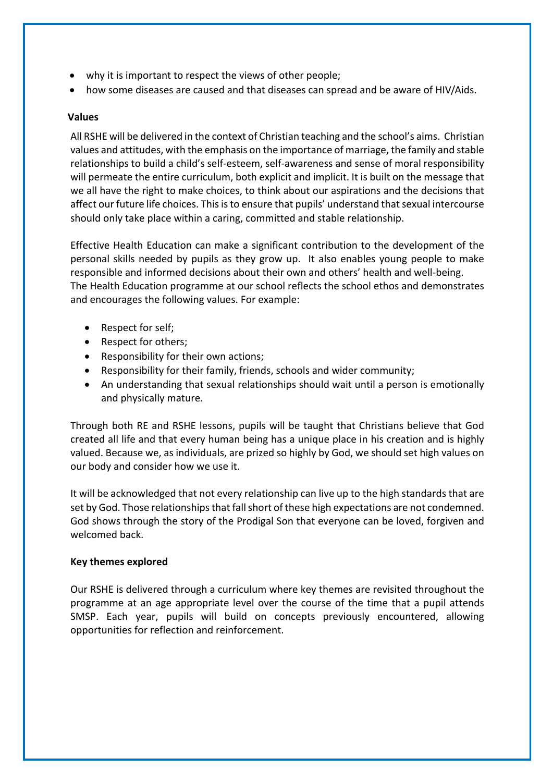- why it is important to respect the views of other people;
- how some diseases are caused and that diseases can spread and be aware of HIV/Aids.

### **Values**

All RSHE will be delivered in the context of Christian teaching and the school's aims. Christian values and attitudes, with the emphasis on the importance of marriage, the family and stable relationships to build a child's self-esteem, self-awareness and sense of moral responsibility will permeate the entire curriculum, both explicit and implicit. It is built on the message that we all have the right to make choices, to think about our aspirations and the decisions that affect our future life choices. This is to ensure that pupils' understand that sexual intercourse should only take place within a caring, committed and stable relationship.

Effective Health Education can make a significant contribution to the development of the personal skills needed by pupils as they grow up. It also enables young people to make responsible and informed decisions about their own and others' health and well-being. The Health Education programme at our school reflects the school ethos and demonstrates and encourages the following values. For example:

- Respect for self;
- Respect for others;
- Responsibility for their own actions;
- Responsibility for their family, friends, schools and wider community;
- An understanding that sexual relationships should wait until a person is emotionally and physically mature.

Through both RE and RSHE lessons, pupils will be taught that Christians believe that God created all life and that every human being has a unique place in his creation and is highly valued. Because we, as individuals, are prized so highly by God, we should set high values on our body and consider how we use it.

It will be acknowledged that not every relationship can live up to the high standards that are set by God. Those relationships that fall short of these high expectations are not condemned. God shows through the story of the Prodigal Son that everyone can be loved, forgiven and welcomed back.

### **Key themes explored**

Our RSHE is delivered through a curriculum where key themes are revisited throughout the programme at an age appropriate level over the course of the time that a pupil attends SMSP. Each year, pupils will build on concepts previously encountered, allowing opportunities for reflection and reinforcement.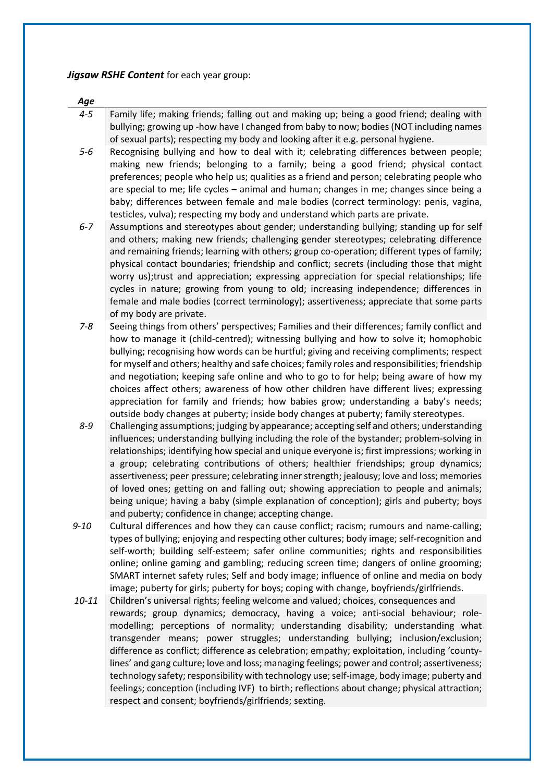*Jigsaw RSHE Content* for each year group:

*Age*

- *4-5* Family life; making friends; falling out and making up; being a good friend; dealing with bullying; growing up -how have I changed from baby to now; bodies (NOT including names of sexual parts); respecting my body and looking after it e.g. personal hygiene.
- *5-6* Recognising bullying and how to deal with it; celebrating differences between people; making new friends; belonging to a family; being a good friend; physical contact preferences; people who help us; qualities as a friend and person; celebrating people who are special to me; life cycles – animal and human; changes in me; changes since being a baby; differences between female and male bodies (correct terminology: penis, vagina, testicles, vulva); respecting my body and understand which parts are private.
- *6-7* Assumptions and stereotypes about gender; understanding bullying; standing up for self and others; making new friends; challenging gender stereotypes; celebrating difference and remaining friends; learning with others; group co-operation; different types of family; physical contact boundaries; friendship and conflict; secrets (including those that might worry us);trust and appreciation; expressing appreciation for special relationships; life cycles in nature; growing from young to old; increasing independence; differences in female and male bodies (correct terminology); assertiveness; appreciate that some parts of my body are private.
- 7-8 Seeing things from others' perspectives; Families and their differences; family conflict and how to manage it (child-centred); witnessing bullying and how to solve it; homophobic bullying; recognising how words can be hurtful; giving and receiving compliments; respect for myself and others; healthy and safe choices; family roles and responsibilities; friendship and negotiation; keeping safe online and who to go to for help; being aware of how my choices affect others; awareness of how other children have different lives; expressing appreciation for family and friends; how babies grow; understanding a baby's needs; outside body changes at puberty; inside body changes at puberty; family stereotypes.
- *8-9* Challenging assumptions; judging by appearance; accepting self and others; understanding influences; understanding bullying including the role of the bystander; problem-solving in relationships; identifying how special and unique everyone is; first impressions; working in a group; celebrating contributions of others; healthier friendships; group dynamics; assertiveness; peer pressure; celebrating inner strength; jealousy; love and loss; memories of loved ones; getting on and falling out; showing appreciation to people and animals; being unique; having a baby (simple explanation of conception); girls and puberty; boys and puberty; confidence in change; accepting change.
- 9-10 Cultural differences and how they can cause conflict; racism; rumours and name-calling; types of bullying; enjoying and respecting other cultures; body image; self-recognition and self-worth; building self-esteem; safer online communities; rights and responsibilities online; online gaming and gambling; reducing screen time; dangers of online grooming; SMART internet safety rules; Self and body image; influence of online and media on body image; puberty for girls; puberty for boys; coping with change, boyfriends/girlfriends.
- 10-11 | Children's universal rights; feeling welcome and valued; choices, consequences and rewards; group dynamics; democracy, having a voice; anti-social behaviour; rolemodelling; perceptions of normality; understanding disability; understanding what transgender means; power struggles; understanding bullying; inclusion/exclusion; difference as conflict; difference as celebration; empathy; exploitation, including 'countylines' and gang culture; love and loss; managing feelings; power and control; assertiveness; technology safety; responsibility with technology use; self-image, body image; puberty and feelings; conception (including IVF) to birth; reflections about change; physical attraction; respect and consent; boyfriends/girlfriends; sexting.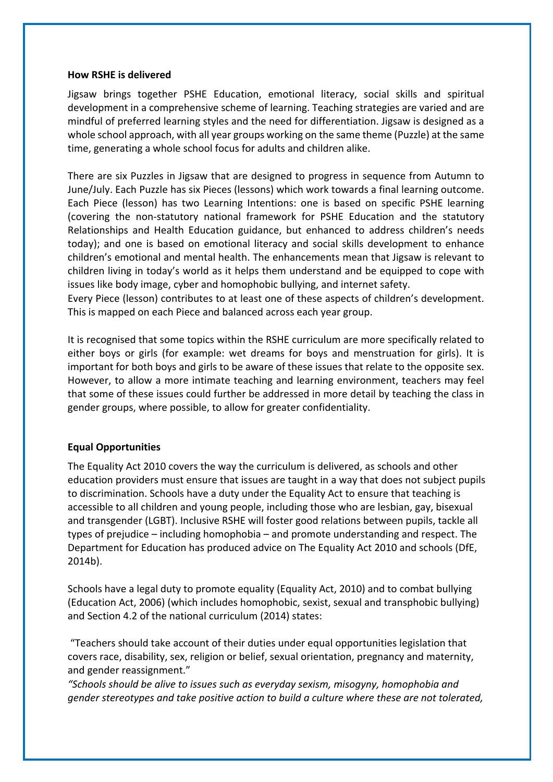#### **How RSHE is delivered**

Jigsaw brings together PSHE Education, emotional literacy, social skills and spiritual development in a comprehensive scheme of learning. Teaching strategies are varied and are mindful of preferred learning styles and the need for differentiation. Jigsaw is designed as a whole school approach, with all year groups working on the same theme (Puzzle) at the same time, generating a whole school focus for adults and children alike.

There are six Puzzles in Jigsaw that are designed to progress in sequence from Autumn to June/July. Each Puzzle has six Pieces (lessons) which work towards a final learning outcome. Each Piece (lesson) has two Learning Intentions: one is based on specific PSHE learning (covering the non-statutory national framework for PSHE Education and the statutory Relationships and Health Education guidance, but enhanced to address children's needs today); and one is based on emotional literacy and social skills development to enhance children's emotional and mental health. The enhancements mean that Jigsaw is relevant to children living in today's world as it helps them understand and be equipped to cope with issues like body image, cyber and homophobic bullying, and internet safety.

Every Piece (lesson) contributes to at least one of these aspects of children's development. This is mapped on each Piece and balanced across each year group.

It is recognised that some topics within the RSHE curriculum are more specifically related to either boys or girls (for example: wet dreams for boys and menstruation for girls). It is important for both boys and girls to be aware of these issues that relate to the opposite sex. However, to allow a more intimate teaching and learning environment, teachers may feel that some of these issues could further be addressed in more detail by teaching the class in gender groups, where possible, to allow for greater confidentiality.

#### **Equal Opportunities**

The Equality Act 2010 covers the way the curriculum is delivered, as schools and other education providers must ensure that issues are taught in a way that does not subject pupils to discrimination. Schools have a duty under the Equality Act to ensure that teaching is accessible to all children and young people, including those who are lesbian, gay, bisexual and transgender (LGBT). Inclusive RSHE will foster good relations between pupils, tackle all types of prejudice – including homophobia – and promote understanding and respect. The Department for Education has produced advice on The Equality Act 2010 and schools (DfE, 2014b).

Schools have a legal duty to promote equality (Equality Act, 2010) and to combat bullying (Education Act, 2006) (which includes homophobic, sexist, sexual and transphobic bullying) and Section 4.2 of the national curriculum (2014) states:

"Teachers should take account of their duties under equal opportunities legislation that covers race, disability, sex, religion or belief, sexual orientation, pregnancy and maternity, and gender reassignment."

*"Schools should be alive to issues such as everyday sexism, misogyny, homophobia and gender stereotypes and take positive action to build a culture where these are not tolerated,*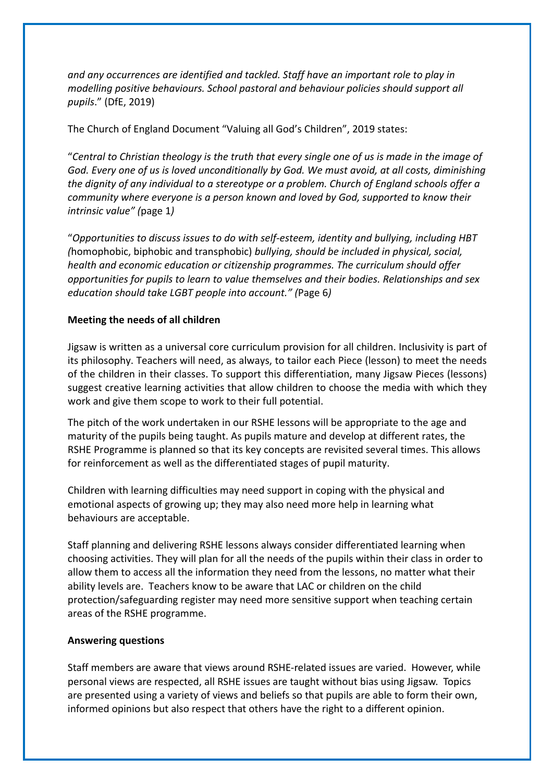*and any occurrences are identified and tackled. Staff have an important role to play in modelling positive behaviours. School pastoral and behaviour policies should support all pupils*." (DfE, 2019)

The Church of England Document "Valuing all God's Children", 2019 states:

"*Central to Christian theology is the truth that every single one of us is made in the image of God. Every one of us is loved unconditionally by God. We must avoid, at all costs, diminishing the dignity of any individual to a stereotype or a problem. Church of England schools offer a community where everyone is a person known and loved by God, supported to know their intrinsic value" (*page 1*)*

"*Opportunities to discuss issues to do with self-esteem, identity and bullying, including HBT (*homophobic, biphobic and transphobic) *bullying, should be included in physical, social, health and economic education or citizenship programmes. The curriculum should offer opportunities for pupils to learn to value themselves and their bodies. Relationships and sex education should take LGBT people into account." (*Page 6*)*

## **Meeting the needs of all children**

Jigsaw is written as a universal core curriculum provision for all children. Inclusivity is part of its philosophy. Teachers will need, as always, to tailor each Piece (lesson) to meet the needs of the children in their classes. To support this differentiation, many Jigsaw Pieces (lessons) suggest creative learning activities that allow children to choose the media with which they work and give them scope to work to their full potential.

The pitch of the work undertaken in our RSHE lessons will be appropriate to the age and maturity of the pupils being taught. As pupils mature and develop at different rates, the RSHE Programme is planned so that its key concepts are revisited several times. This allows for reinforcement as well as the differentiated stages of pupil maturity.

Children with learning difficulties may need support in coping with the physical and emotional aspects of growing up; they may also need more help in learning what behaviours are acceptable.

Staff planning and delivering RSHE lessons always consider differentiated learning when choosing activities. They will plan for all the needs of the pupils within their class in order to allow them to access all the information they need from the lessons, no matter what their ability levels are. Teachers know to be aware that LAC or children on the child protection/safeguarding register may need more sensitive support when teaching certain areas of the RSHE programme.

### **Answering questions**

Staff members are aware that views around RSHE-related issues are varied. However, while personal views are respected, all RSHE issues are taught without bias using Jigsaw. Topics are presented using a variety of views and beliefs so that pupils are able to form their own, informed opinions but also respect that others have the right to a different opinion.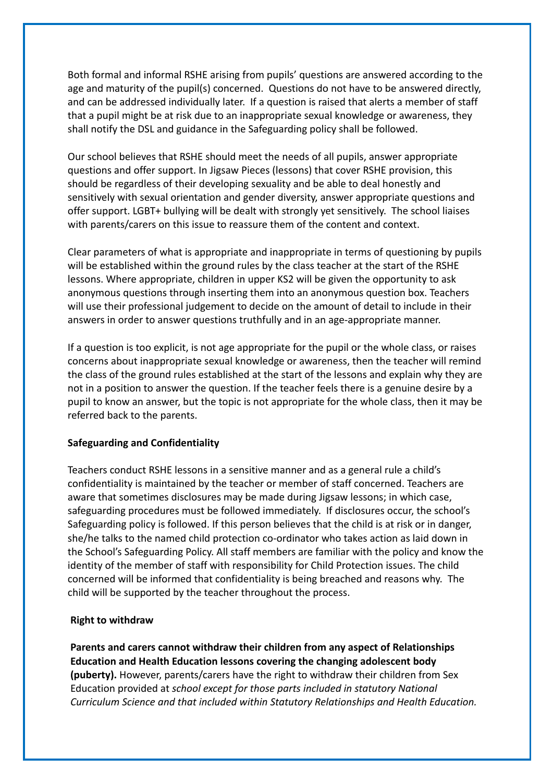Both formal and informal RSHE arising from pupils' questions are answered according to the age and maturity of the pupil(s) concerned. Questions do not have to be answered directly, and can be addressed individually later. If a question is raised that alerts a member of staff that a pupil might be at risk due to an inappropriate sexual knowledge or awareness, they shall notify the DSL and guidance in the Safeguarding policy shall be followed.

Our school believes that RSHE should meet the needs of all pupils, answer appropriate questions and offer support. In Jigsaw Pieces (lessons) that cover RSHE provision, this should be regardless of their developing sexuality and be able to deal honestly and sensitively with sexual orientation and gender diversity, answer appropriate questions and offer support. LGBT+ bullying will be dealt with strongly yet sensitively. The school liaises with parents/carers on this issue to reassure them of the content and context.

Clear parameters of what is appropriate and inappropriate in terms of questioning by pupils will be established within the ground rules by the class teacher at the start of the RSHE lessons. Where appropriate, children in upper KS2 will be given the opportunity to ask anonymous questions through inserting them into an anonymous question box. Teachers will use their professional judgement to decide on the amount of detail to include in their answers in order to answer questions truthfully and in an age-appropriate manner.

If a question is too explicit, is not age appropriate for the pupil or the whole class, or raises concerns about inappropriate sexual knowledge or awareness, then the teacher will remind the class of the ground rules established at the start of the lessons and explain why they are not in a position to answer the question. If the teacher feels there is a genuine desire by a pupil to know an answer, but the topic is not appropriate for the whole class, then it may be referred back to the parents.

### **Safeguarding and Confidentiality**

Teachers conduct RSHE lessons in a sensitive manner and as a general rule a child's confidentiality is maintained by the teacher or member of staff concerned. Teachers are aware that sometimes disclosures may be made during Jigsaw lessons; in which case, safeguarding procedures must be followed immediately. If disclosures occur, the school's Safeguarding policy is followed. If this person believes that the child is at risk or in danger, she/he talks to the named child protection co-ordinator who takes action as laid down in the School's Safeguarding Policy. All staff members are familiar with the policy and know the identity of the member of staff with responsibility for Child Protection issues. The child concerned will be informed that confidentiality is being breached and reasons why. The child will be supported by the teacher throughout the process.

#### **Right to withdraw**

**Parents and carers cannot withdraw their children from any aspect of Relationships Education and Health Education lessons covering the changing adolescent body (puberty).** However, parents/carers have the right to withdraw their children from Sex Education provided at *school except for those parts included in statutory National Curriculum Science and that included within Statutory Relationships and Health Education.*